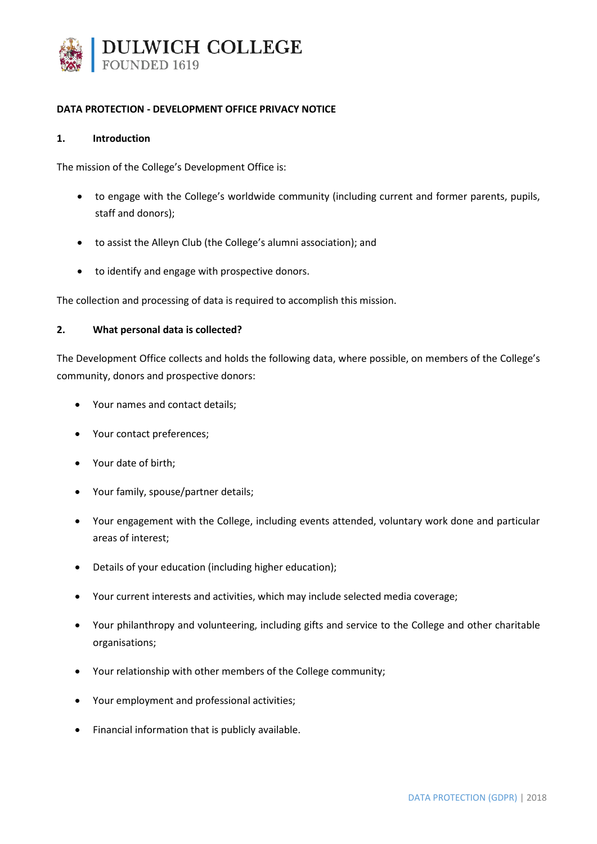

### **DATA PROTECTION - DEVELOPMENT OFFICE PRIVACY NOTICE**

#### **1. Introduction**

The mission of the College's Development Office is:

- to engage with the College's worldwide community (including current and former parents, pupils, staff and donors);
- to assist the Alleyn Club (the College's alumni association); and
- to identify and engage with prospective donors.

The collection and processing of data is required to accomplish this mission.

#### **2. What personal data is collected?**

The Development Office collects and holds the following data, where possible, on members of the College's community, donors and prospective donors:

- Your names and contact details;
- Your contact preferences;
- Your date of birth;
- Your family, spouse/partner details;
- Your engagement with the College, including events attended, voluntary work done and particular areas of interest;
- Details of your education (including higher education);
- Your current interests and activities, which may include selected media coverage;
- Your philanthropy and volunteering, including gifts and service to the College and other charitable organisations;
- Your relationship with other members of the College community;
- Your employment and professional activities;
- Financial information that is publicly available.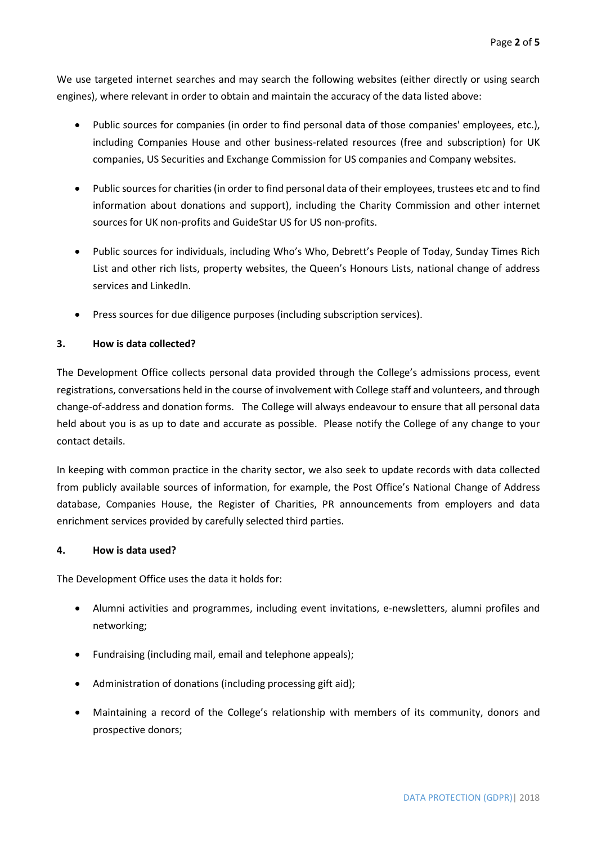We use targeted internet searches and may search the following websites (either directly or using search engines), where relevant in order to obtain and maintain the accuracy of the data listed above:

- Public sources for companies (in order to find personal data of those companies' employees, etc.), including Companies House and other business-related resources (free and subscription) for UK companies, US Securities and Exchange Commission for US companies and Company websites.
- Public sources for charities (in order to find personal data of their employees, trustees etc and to find information about donations and support), including the Charity Commission and other internet sources for UK non-profits and GuideStar US for US non-profits.
- Public sources for individuals, including Who's Who, Debrett's People of Today, Sunday Times Rich List and other rich lists, property websites, the Queen's Honours Lists, national change of address services and LinkedIn.
- Press sources for due diligence purposes (including subscription services).

# **3. How is data collected?**

The Development Office collects personal data provided through the College's admissions process, event registrations, conversations held in the course of involvement with College staff and volunteers, and through change-of-address and donation forms. The College will always endeavour to ensure that all personal data held about you is as up to date and accurate as possible. Please notify the College of any change to your contact details.

In keeping with common practice in the charity sector, we also seek to update records with data collected from publicly available sources of information, for example, the Post Office's National Change of Address database, Companies House, the Register of Charities, PR announcements from employers and data enrichment services provided by carefully selected third parties.

#### **4. How is data used?**

The Development Office uses the data it holds for:

- Alumni activities and programmes, including event invitations, e-newsletters, alumni profiles and networking;
- Fundraising (including mail, email and telephone appeals);
- Administration of donations (including processing gift aid);
- Maintaining a record of the College's relationship with members of its community, donors and prospective donors;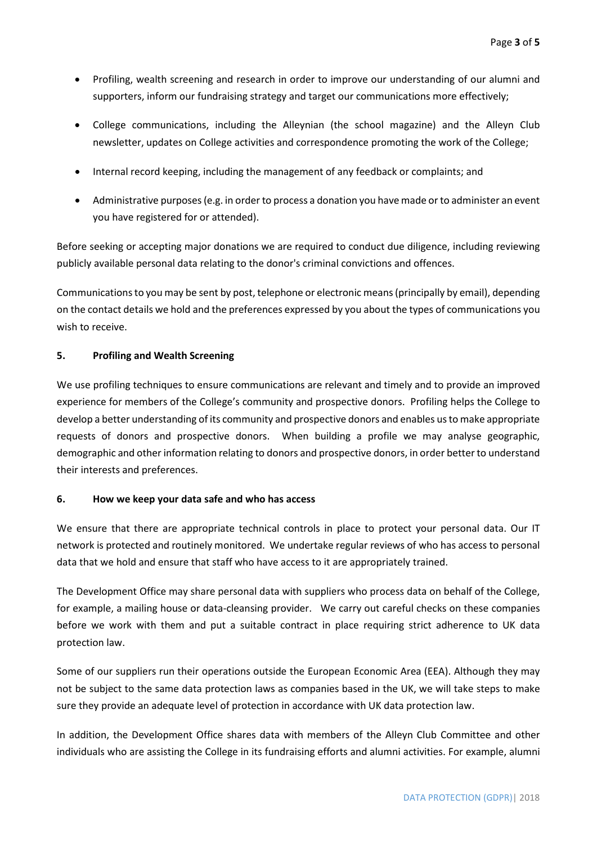- Profiling, wealth screening and research in order to improve our understanding of our alumni and supporters, inform our fundraising strategy and target our communications more effectively;
- College communications, including the Alleynian (the school magazine) and the Alleyn Club newsletter, updates on College activities and correspondence promoting the work of the College;
- Internal record keeping, including the management of any feedback or complaints; and
- Administrative purposes (e.g. in order to process a donation you have made or to administer an event you have registered for or attended).

Before seeking or accepting major donations we are required to conduct due diligence, including reviewing publicly available personal data relating to the donor's criminal convictions and offences.

Communications to you may be sent by post, telephone or electronic means (principally by email), depending on the contact details we hold and the preferences expressed by you about the types of communications you wish to receive.

# **5. Profiling and Wealth Screening**

We use profiling techniques to ensure communications are relevant and timely and to provide an improved experience for members of the College's community and prospective donors. Profiling helps the College to develop a better understanding of its community and prospective donors and enables us to make appropriate requests of donors and prospective donors. When building a profile we may analyse geographic, demographic and other information relating to donors and prospective donors, in order better to understand their interests and preferences.

# **6. How we keep your data safe and who has access**

We ensure that there are appropriate technical controls in place to protect your personal data. Our IT network is protected and routinely monitored. We undertake regular reviews of who has access to personal data that we hold and ensure that staff who have access to it are appropriately trained.

The Development Office may share personal data with suppliers who process data on behalf of the College, for example, a mailing house or data-cleansing provider. We carry out careful checks on these companies before we work with them and put a suitable contract in place requiring strict adherence to UK data protection law.

Some of our suppliers run their operations outside the European Economic Area (EEA). Although they may not be subject to the same data protection laws as companies based in the UK, we will take steps to make sure they provide an adequate level of protection in accordance with UK data protection law.

In addition, the Development Office shares data with members of the Alleyn Club Committee and other individuals who are assisting the College in its fundraising efforts and alumni activities. For example, alumni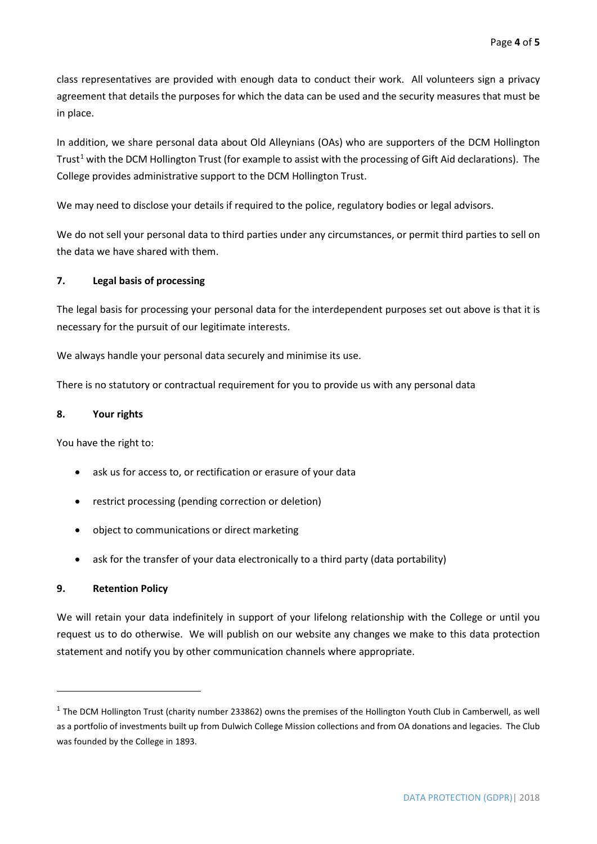class representatives are provided with enough data to conduct their work. All volunteers sign a privacy agreement that details the purposes for which the data can be used and the security measures that must be in place.

In addition, we share personal data about Old Alleynians (OAs) who are supporters of the DCM Hollington Trust<sup>[1](#page-3-0)</sup> with the DCM Hollington Trust (for example to assist with the processing of Gift Aid declarations). The College provides administrative support to the DCM Hollington Trust.

We may need to disclose your details if required to the police, regulatory bodies or legal advisors.

We do not sell your personal data to third parties under any circumstances, or permit third parties to sell on the data we have shared with them.

# **7. Legal basis of processing**

The legal basis for processing your personal data for the interdependent purposes set out above is that it is necessary for the pursuit of our legitimate interests.

We always handle your personal data securely and minimise its use.

There is no statutory or contractual requirement for you to provide us with any personal data

### **8. Your rights**

You have the right to:

- ask us for access to, or rectification or erasure of your data
- restrict processing (pending correction or deletion)
- object to communications or direct marketing
- ask for the transfer of your data electronically to a third party (data portability)

# **9. Retention Policy**

**.** 

We will retain your data indefinitely in support of your lifelong relationship with the College or until you request us to do otherwise. We will publish on our website any changes we make to this data protection statement and notify you by other communication channels where appropriate.

<span id="page-3-0"></span> $1$  The DCM Hollington Trust (charity number 233862) owns the premises of the Hollington Youth Club in Camberwell, as well as a portfolio of investments built up from Dulwich College Mission collections and from OA donations and legacies. The Club was founded by the College in 1893.